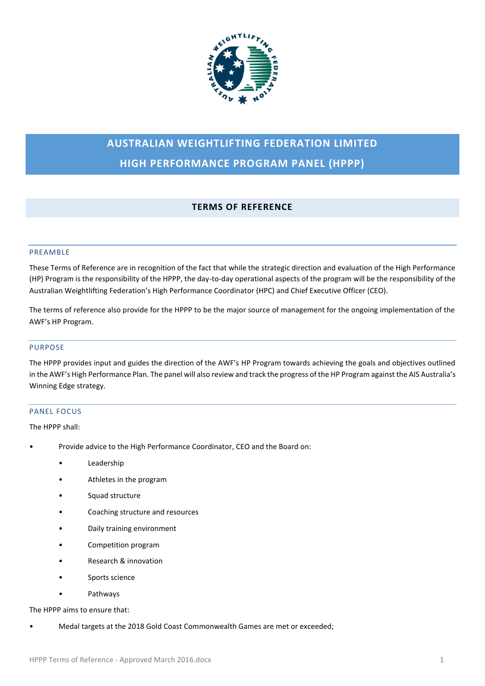

# **AUSTRALIAN WEIGHTLIFTING FEDERATION LIMITED HIGH PERFORMANCE PROGRAM PANEL (HPPP)**

# **TERMS OF REFERENCE**

# PREAMBLE

These Terms of Reference are in recognition of the fact that while the strategic direction and evaluation of the High Performance (HP) Program is the responsibility of the HPPP, the day-to-day operational aspects of the program will be the responsibility of the Australian Weightlifting Federation's High Performance Coordinator (HPC) and Chief Executive Officer (CEO).

The terms of reference also provide for the HPPP to be the major source of management for the ongoing implementation of the AWF's HP Program.

# PURPOSE

The HPPP provides input and guides the direction of the AWF's HP Program towards achieving the goals and objectives outlined in the AWF's High Performance Plan. The panel will also review and track the progress of the HP Program against the AIS Australia's Winning Edge strategy.

# PANEL FOCUS

The HPPP shall:

- Provide advice to the High Performance Coordinator, CEO and the Board on:
	- Leadership
	- Athletes in the program
	- Squad structure
	- Coaching structure and resources
	- Daily training environment
	- Competition program
	- Research & innovation
	- Sports science
	- Pathways

# The HPPP aims to ensure that:

• Medal targets at the 2018 Gold Coast Commonwealth Games are met or exceeded;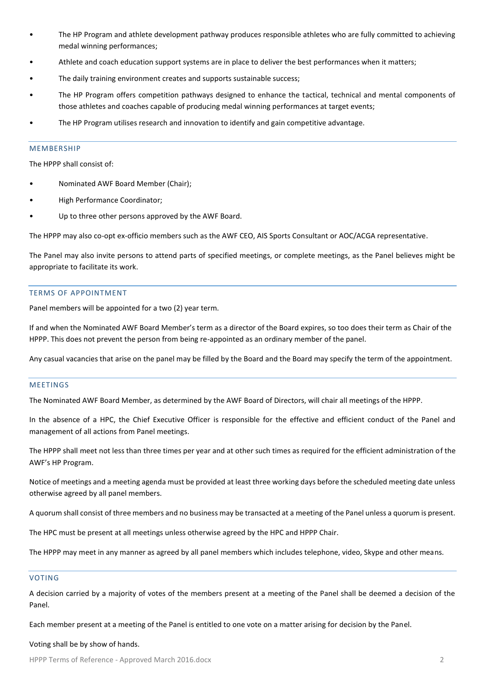- The HP Program and athlete development pathway produces responsible athletes who are fully committed to achieving medal winning performances;
- Athlete and coach education support systems are in place to deliver the best performances when it matters;
- The daily training environment creates and supports sustainable success;
- The HP Program offers competition pathways designed to enhance the tactical, technical and mental components of those athletes and coaches capable of producing medal winning performances at target events;
- The HP Program utilises research and innovation to identify and gain competitive advantage.

# **MEMBERSHIP**

The HPPP shall consist of:

- Nominated AWF Board Member (Chair);
- High Performance Coordinator;
- Up to three other persons approved by the AWF Board.

The HPPP may also co-opt ex-officio members such as the AWF CEO, AIS Sports Consultant or AOC/ACGA representative.

The Panel may also invite persons to attend parts of specified meetings, or complete meetings, as the Panel believes might be appropriate to facilitate its work.

# TERMS OF APPOINTMENT

Panel members will be appointed for a two (2) year term.

If and when the Nominated AWF Board Member's term as a director of the Board expires, so too does their term as Chair of the HPPP. This does not prevent the person from being re-appointed as an ordinary member of the panel.

Any casual vacancies that arise on the panel may be filled by the Board and the Board may specify the term of the appointment.

#### **MEETINGS**

The Nominated AWF Board Member, as determined by the AWF Board of Directors, will chair all meetings of the HPPP.

In the absence of a HPC, the Chief Executive Officer is responsible for the effective and efficient conduct of the Panel and management of all actions from Panel meetings.

The HPPP shall meet not less than three times per year and at other such times as required for the efficient administration of the AWF's HP Program.

Notice of meetings and a meeting agenda must be provided at least three working days before the scheduled meeting date unless otherwise agreed by all panel members.

A quorum shall consist of three members and no business may be transacted at a meeting of the Panel unless a quorum is present.

The HPC must be present at all meetings unless otherwise agreed by the HPC and HPPP Chair.

The HPPP may meet in any manner as agreed by all panel members which includes telephone, video, Skype and other means.

#### VOTING

A decision carried by a majority of votes of the members present at a meeting of the Panel shall be deemed a decision of the Panel.

Each member present at a meeting of the Panel is entitled to one vote on a matter arising for decision by the Panel.

#### Voting shall be by show of hands.